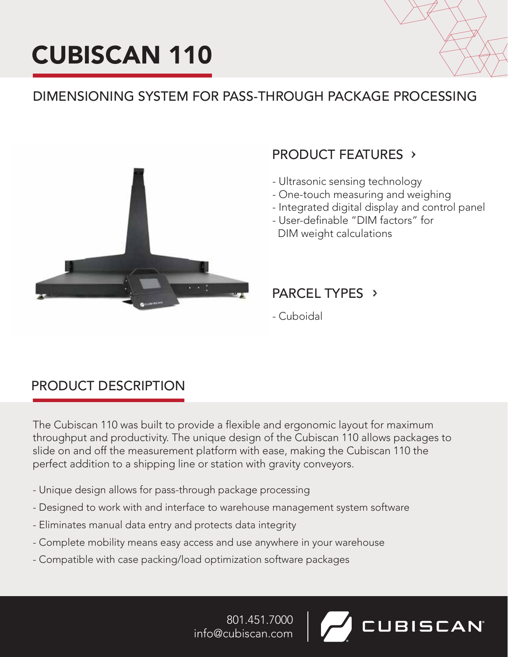# CUBISCAN 110



**UBISCAN** 

# DIMENSIONING SYSTEM FOR PASS-THROUGH PACKAGE PROCESSING



# PRODUCT FEATURES

- Ultrasonic sensing technology
- One-touch measuring and weighing
- Integrated digital display and control panel
- User-definable "DIM factors" for DIM weight calculations

### PARCEL TYPES >

- Cuboidal

### PRODUCT DESCRIPTION

The Cubiscan 110 was built to provide a flexible and ergonomic layout for maximum throughput and productivity. The unique design of the Cubiscan 110 allows packages to slide on and off the measurement platform with ease, making the Cubiscan 110 the perfect addition to a shipping line or station with gravity conveyors.

- Unique design allows for pass-through package processing
- Designed to work with and interface to warehouse management system software
- Eliminates manual data entry and protects data integrity
- Complete mobility means easy access and use anywhere in your warehouse
- Compatible with case packing/load optimization software packages

801.451.7000 info@cubiscan.com